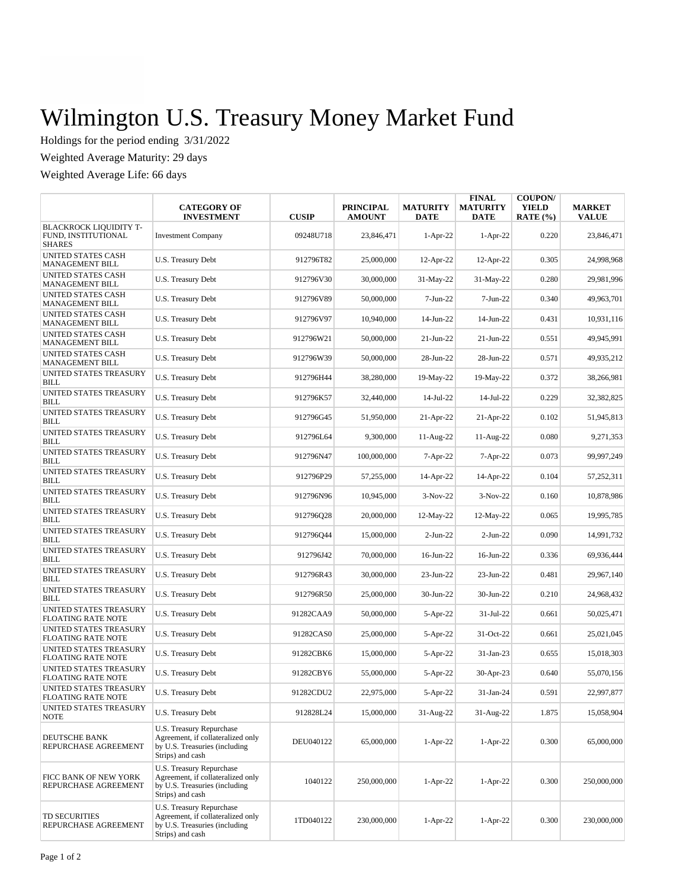## Wilmington U.S. Treasury Money Market Fund

Holdings for the period ending 3/31/2022

Weighted Average Maturity: 29 days

Weighted Average Life: 66 days

|                                                                       | <b>CATEGORY OF</b><br><b>INVESTMENT</b>                                                                                   | <b>CUSIP</b> | <b>PRINCIPAL</b><br><b>AMOUNT</b> | <b>MATURITY</b><br><b>DATE</b> | <b>FINAL</b><br><b>MATURITY</b><br><b>DATE</b> | <b>COUPON/</b><br><b>YIELD</b><br>RATE $(\% )$ | <b>MARKET</b><br><b>VALUE</b> |
|-----------------------------------------------------------------------|---------------------------------------------------------------------------------------------------------------------------|--------------|-----------------------------------|--------------------------------|------------------------------------------------|------------------------------------------------|-------------------------------|
| <b>BLACKROCK LIQUIDITY T-</b><br>FUND. INSTITUTIONAL<br><b>SHARES</b> | <b>Investment Company</b>                                                                                                 | 09248U718    | 23,846,471                        | $1-Apr-22$                     | $1-Apr-22$                                     | 0.220                                          | 23,846,471                    |
| <b>UNITED STATES CASH</b><br><b>MANAGEMENT BILL</b>                   | U.S. Treasury Debt                                                                                                        | 912796T82    | 25,000,000                        | $12$ -Apr-22                   | $12-Apr-22$                                    | 0.305                                          | 24,998,968                    |
| UNITED STATES CASH<br><b>MANAGEMENT BILL</b>                          | U.S. Treasury Debt                                                                                                        | 912796V30    | 30,000,000                        | 31-May-22                      | 31-May-22                                      | 0.280                                          | 29,981,996                    |
| <b>UNITED STATES CASH</b><br>MANAGEMENT BILL                          | U.S. Treasury Debt                                                                                                        | 912796V89    | 50,000,000                        | $7-Jun-22$                     | 7-Jun-22                                       | 0.340                                          | 49,963,701                    |
| <b>UNITED STATES CASH</b><br>MANAGEMENT BILL                          | U.S. Treasury Debt                                                                                                        | 912796V97    | 10,940,000                        | 14-Jun-22                      | 14-Jun-22                                      | 0.431                                          | 10,931,116                    |
| <b>UNITED STATES CASH</b><br><b>MANAGEMENT BILL</b>                   | U.S. Treasury Debt                                                                                                        | 912796W21    | 50,000,000                        | $21-Jun-22$                    | $21-Jun-22$                                    | 0.551                                          | 49,945,991                    |
| <b>UNITED STATES CASH</b><br>MANAGEMENT BILL                          | U.S. Treasury Debt                                                                                                        | 912796W39    | 50,000,000                        | 28-Jun-22                      | 28-Jun-22                                      | 0.571                                          | 49,935,212                    |
| UNITED STATES TREASURY<br><b>BILL</b>                                 | U.S. Treasury Debt                                                                                                        | 912796H44    | 38,280,000                        | 19-May-22                      | 19-May-22                                      | 0.372                                          | 38,266,981                    |
| UNITED STATES TREASURY<br><b>BILL</b>                                 | U.S. Treasury Debt                                                                                                        | 912796K57    | 32,440,000                        | 14-Jul-22                      | 14-Jul-22                                      | 0.229                                          | 32,382,825                    |
| UNITED STATES TREASURY<br>BILL                                        | U.S. Treasury Debt                                                                                                        | 912796G45    | 51,950,000                        | $21-Apr-22$                    | 21-Apr-22                                      | 0.102                                          | 51,945,813                    |
| UNITED STATES TREASURY<br><b>BILL</b>                                 | U.S. Treasury Debt                                                                                                        | 912796L64    | 9,300,000                         | 11-Aug-22                      | 11-Aug-22                                      | 0.080                                          | 9,271,353                     |
| UNITED STATES TREASURY<br><b>BILL</b>                                 | U.S. Treasury Debt                                                                                                        | 912796N47    | 100,000,000                       | $7 - Apr-22$                   | 7-Apr-22                                       | 0.073                                          | 99,997,249                    |
| UNITED STATES TREASURY<br><b>BILL</b>                                 | U.S. Treasury Debt                                                                                                        | 912796P29    | 57,255,000                        | 14-Apr-22                      | 14-Apr-22                                      | 0.104                                          | 57,252,311                    |
| UNITED STATES TREASURY<br><b>BILL</b>                                 | U.S. Treasury Debt                                                                                                        | 912796N96    | 10,945,000                        | $3-Nov-22$                     | $3-Nov-22$                                     | 0.160                                          | 10,878,986                    |
| UNITED STATES TREASURY<br><b>BILL</b>                                 | U.S. Treasury Debt                                                                                                        | 912796Q28    | 20,000,000                        | $12$ -May-22                   | 12-May-22                                      | 0.065                                          | 19,995,785                    |
| UNITED STATES TREASURY<br><b>BILL</b>                                 | U.S. Treasury Debt                                                                                                        | 912796044    | 15,000,000                        | $2-Jun-22$                     | $2-Jun-22$                                     | 0.090                                          | 14,991,732                    |
| UNITED STATES TREASURY<br><b>BILL</b>                                 | U.S. Treasury Debt                                                                                                        | 912796J42    | 70,000,000                        | 16-Jun-22                      | 16-Jun-22                                      | 0.336                                          | 69,936,444                    |
| UNITED STATES TREASURY<br><b>BILL</b>                                 | U.S. Treasury Debt                                                                                                        | 912796R43    | 30,000,000                        | 23-Jun-22                      | 23-Jun-22                                      | 0.481                                          | 29,967,140                    |
| UNITED STATES TREASURY<br><b>BILL</b>                                 | U.S. Treasury Debt                                                                                                        | 912796R50    | 25,000,000                        | 30-Jun-22                      | 30-Jun-22                                      | 0.210                                          | 24,968,432                    |
| UNITED STATES TREASURY<br><b>FLOATING RATE NOTE</b>                   | U.S. Treasury Debt                                                                                                        | 91282CAA9    | 50,000,000                        | $5-$ Apr $-22$                 | 31-Jul-22                                      | 0.661                                          | 50,025,471                    |
| UNITED STATES TREASURY<br><b>FLOATING RATE NOTE</b>                   | U.S. Treasury Debt                                                                                                        | 91282CAS0    | 25,000,000                        | $5-Apr-22$                     | 31-Oct-22                                      | 0.661                                          | 25,021,045                    |
| UNITED STATES TREASURY<br><b>FLOATING RATE NOTE</b>                   | U.S. Treasury Debt                                                                                                        | 91282CBK6    | 15,000,000                        | 5-Apr-22                       | 31-Jan-23                                      | 0.655                                          | 15,018,303                    |
| UNITED STATES TREASURY<br><b>FLOATING RATE NOTE</b>                   | U.S. Treasury Debt                                                                                                        | 91282CBY6    | 55,000,000                        | 5-Apr-22                       | 30-Apr-23                                      | 0.640                                          | 55,070,156                    |
| UNITED STATES TREASURY<br>FLOATING RATE NOTE                          | U.S. Treasury Debt                                                                                                        | 91282CDU2    | 22,975,000                        | 5-Apr-22                       | 31-Jan-24                                      | 0.591                                          | 22,997,877                    |
| UNITED STATES TREASURY<br>NOTE                                        | U.S. Treasury Debt                                                                                                        | 912828L24    | 15,000,000                        | 31-Aug-22                      | 31-Aug-22                                      | 1.875                                          | 15,058,904                    |
| DEUTSCHE BANK<br>REPURCHASE AGREEMENT                                 | U.S. Treasury Repurchase<br>Agreement, if collateralized only<br>by U.S. Treasuries (including<br>Strips) and cash        | DEU040122    | 65,000,000                        | $1-Apr-22$                     | $1-Apr-22$                                     | 0.300                                          | 65,000,000                    |
| FICC BANK OF NEW YORK<br>REPURCHASE AGREEMENT                         | <b>U.S. Treasury Repurchase</b><br>Agreement, if collateralized only<br>by U.S. Treasuries (including<br>Strips) and cash | 1040122      | 250,000,000                       | $1-Apr-22$                     | $1-Apr-22$                                     | 0.300                                          | 250,000,000                   |
| TD SECURITIES<br>REPURCHASE AGREEMENT                                 | <b>U.S. Treasury Repurchase</b><br>Agreement, if collateralized only<br>by U.S. Treasuries (including<br>Strips) and cash | 1TD040122    | 230,000,000                       | $1-Apr-22$                     | $1-Apr-22$                                     | 0.300                                          | 230,000,000                   |